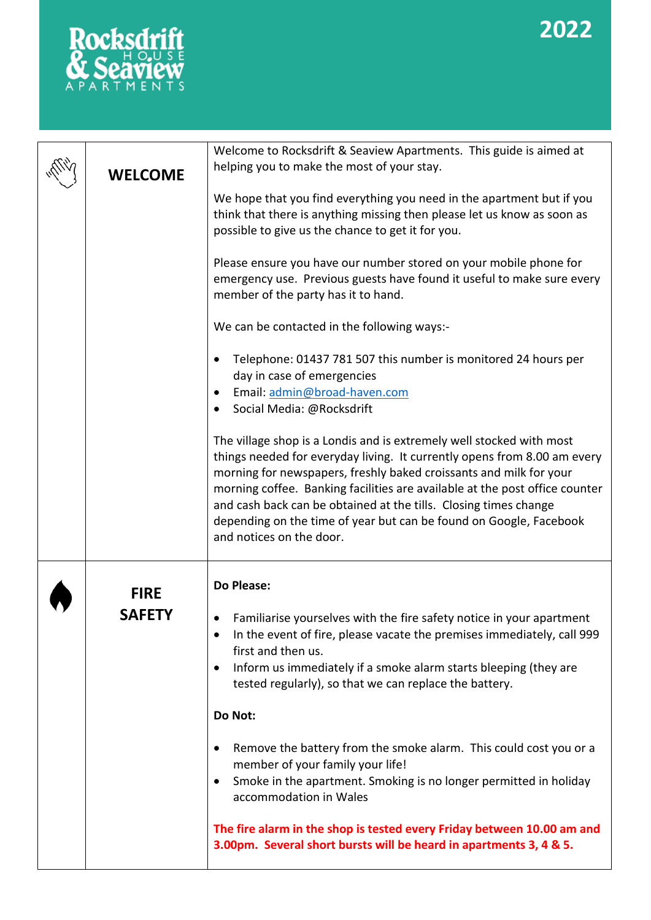# **2022**



| <b>WELCOME</b> | Welcome to Rocksdrift & Seaview Apartments. This guide is aimed at<br>helping you to make the most of your stay.                                                                                                                                                                                                                                                                                                                                                            |  |  |
|----------------|-----------------------------------------------------------------------------------------------------------------------------------------------------------------------------------------------------------------------------------------------------------------------------------------------------------------------------------------------------------------------------------------------------------------------------------------------------------------------------|--|--|
|                | We hope that you find everything you need in the apartment but if you<br>think that there is anything missing then please let us know as soon as<br>possible to give us the chance to get it for you.                                                                                                                                                                                                                                                                       |  |  |
|                | Please ensure you have our number stored on your mobile phone for<br>emergency use. Previous guests have found it useful to make sure every<br>member of the party has it to hand.                                                                                                                                                                                                                                                                                          |  |  |
|                | We can be contacted in the following ways:-                                                                                                                                                                                                                                                                                                                                                                                                                                 |  |  |
|                | Telephone: 01437 781 507 this number is monitored 24 hours per<br>day in case of emergencies<br>Email: admin@broad-haven.com<br>Social Media: @Rocksdrift                                                                                                                                                                                                                                                                                                                   |  |  |
|                | The village shop is a Londis and is extremely well stocked with most<br>things needed for everyday living. It currently opens from 8.00 am every<br>morning for newspapers, freshly baked croissants and milk for your<br>morning coffee. Banking facilities are available at the post office counter<br>and cash back can be obtained at the tills. Closing times change<br>depending on the time of year but can be found on Google, Facebook<br>and notices on the door. |  |  |
| <b>FIRE</b>    | <b>Do Please:</b>                                                                                                                                                                                                                                                                                                                                                                                                                                                           |  |  |
| <b>SAFETY</b>  | Familiarise yourselves with the fire safety notice in your apartment<br>In the event of fire, please vacate the premises immediately, call 999<br>first and then us.<br>Inform us immediately if a smoke alarm starts bleeping (they are<br>$\bullet$<br>tested regularly), so that we can replace the battery.                                                                                                                                                             |  |  |
|                | Do Not:                                                                                                                                                                                                                                                                                                                                                                                                                                                                     |  |  |
|                | Remove the battery from the smoke alarm. This could cost you or a<br>member of your family your life!<br>Smoke in the apartment. Smoking is no longer permitted in holiday<br>٠<br>accommodation in Wales                                                                                                                                                                                                                                                                   |  |  |
|                | The fire alarm in the shop is tested every Friday between 10.00 am and<br>3.00pm. Several short bursts will be heard in apartments 3, 4 & 5.                                                                                                                                                                                                                                                                                                                                |  |  |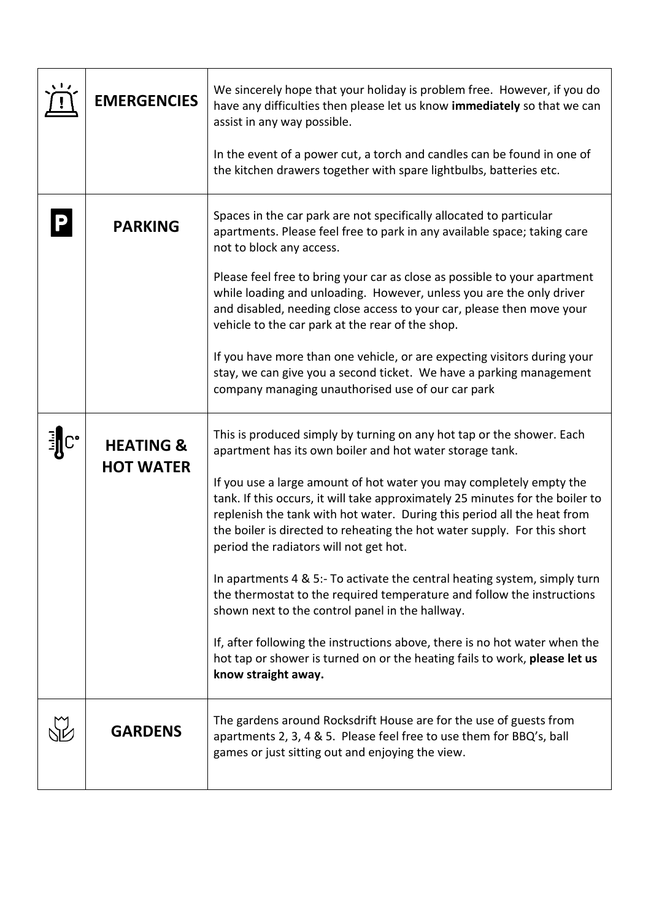| <b>EMERGENCIES</b>                       | We sincerely hope that your holiday is problem free. However, if you do<br>have any difficulties then please let us know immediately so that we can<br>assist in any way possible.<br>In the event of a power cut, a torch and candles can be found in one of<br>the kitchen drawers together with spare lightbulbs, batteries etc.                                                                                                                                                                                                                                                                                                                                                                                                                                                                                                                                                     |
|------------------------------------------|-----------------------------------------------------------------------------------------------------------------------------------------------------------------------------------------------------------------------------------------------------------------------------------------------------------------------------------------------------------------------------------------------------------------------------------------------------------------------------------------------------------------------------------------------------------------------------------------------------------------------------------------------------------------------------------------------------------------------------------------------------------------------------------------------------------------------------------------------------------------------------------------|
| <b>PARKING</b>                           | Spaces in the car park are not specifically allocated to particular<br>apartments. Please feel free to park in any available space; taking care<br>not to block any access.<br>Please feel free to bring your car as close as possible to your apartment<br>while loading and unloading. However, unless you are the only driver<br>and disabled, needing close access to your car, please then move your<br>vehicle to the car park at the rear of the shop.<br>If you have more than one vehicle, or are expecting visitors during your<br>stay, we can give you a second ticket. We have a parking management<br>company managing unauthorised use of our car park                                                                                                                                                                                                                   |
| <b>HEATING &amp;</b><br><b>HOT WATER</b> | This is produced simply by turning on any hot tap or the shower. Each<br>apartment has its own boiler and hot water storage tank.<br>If you use a large amount of hot water you may completely empty the<br>tank. If this occurs, it will take approximately 25 minutes for the boiler to<br>replenish the tank with hot water. During this period all the heat from<br>the boiler is directed to reheating the hot water supply. For this short<br>period the radiators will not get hot.<br>In apartments 4 & 5:- To activate the central heating system, simply turn<br>the thermostat to the required temperature and follow the instructions<br>shown next to the control panel in the hallway.<br>If, after following the instructions above, there is no hot water when the<br>hot tap or shower is turned on or the heating fails to work, please let us<br>know straight away. |
| <b>GARDENS</b>                           | The gardens around Rocksdrift House are for the use of guests from<br>apartments 2, 3, 4 & 5. Please feel free to use them for BBQ's, ball<br>games or just sitting out and enjoying the view.                                                                                                                                                                                                                                                                                                                                                                                                                                                                                                                                                                                                                                                                                          |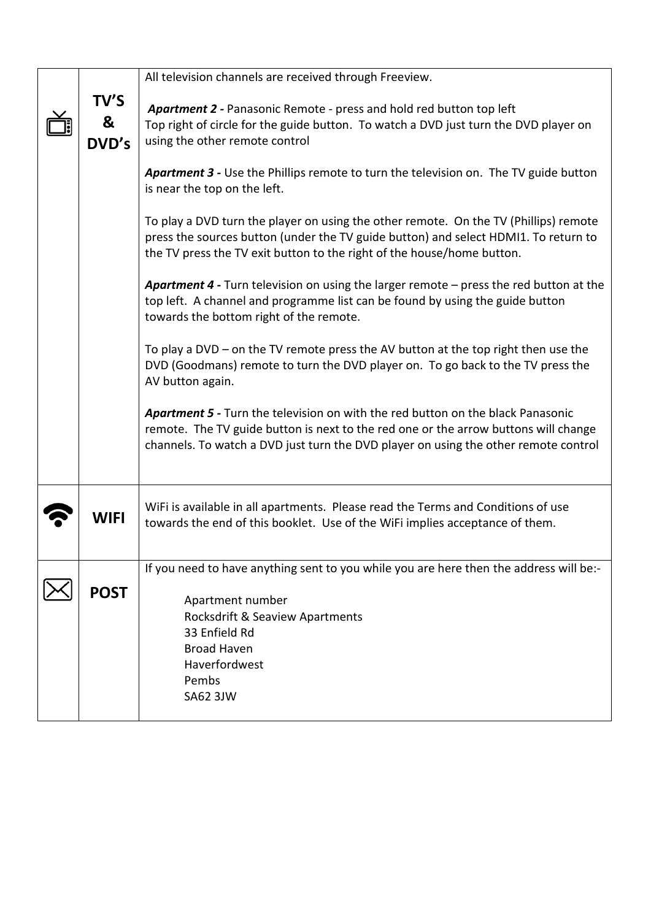|                    | All television channels are received through Freeview.                                                                                                                                                                                                               |
|--------------------|----------------------------------------------------------------------------------------------------------------------------------------------------------------------------------------------------------------------------------------------------------------------|
| TV'S<br>&<br>DVD's | Apartment 2 - Panasonic Remote - press and hold red button top left<br>Top right of circle for the guide button. To watch a DVD just turn the DVD player on<br>using the other remote control                                                                        |
|                    | Apartment 3 - Use the Phillips remote to turn the television on. The TV guide button<br>is near the top on the left.                                                                                                                                                 |
|                    | To play a DVD turn the player on using the other remote. On the TV (Phillips) remote<br>press the sources button (under the TV guide button) and select HDMI1. To return to<br>the TV press the TV exit button to the right of the house/home button.                |
|                    | Apartment 4 - Turn television on using the larger remote - press the red button at the<br>top left. A channel and programme list can be found by using the guide button<br>towards the bottom right of the remote.                                                   |
|                    | To play a DVD – on the TV remote press the AV button at the top right then use the<br>DVD (Goodmans) remote to turn the DVD player on. To go back to the TV press the<br>AV button again.                                                                            |
|                    | <b>Apartment 5 - Turn the television on with the red button on the black Panasonic</b><br>remote. The TV guide button is next to the red one or the arrow buttons will change<br>channels. To watch a DVD just turn the DVD player on using the other remote control |
| WIFI               | WiFi is available in all apartments. Please read the Terms and Conditions of use<br>towards the end of this booklet. Use of the WiFi implies acceptance of them.                                                                                                     |
| <b>POST</b>        | If you need to have anything sent to you while you are here then the address will be:-<br>Apartment number<br>Rocksdrift & Seaview Apartments<br>33 Enfield Rd<br><b>Broad Haven</b><br>Haverfordwest<br>Pembs<br><b>SA62 3JW</b>                                    |
|                    |                                                                                                                                                                                                                                                                      |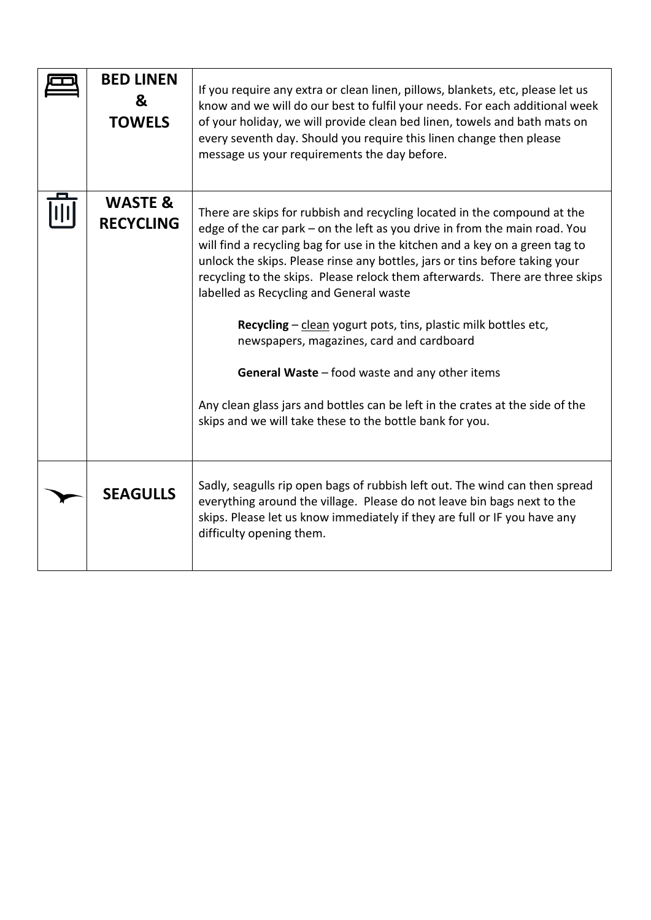| <b>BED LINEN</b><br>&<br><b>TOWELS</b> | If you require any extra or clean linen, pillows, blankets, etc, please let us<br>know and we will do our best to fulfil your needs. For each additional week<br>of your holiday, we will provide clean bed linen, towels and bath mats on<br>every seventh day. Should you require this linen change then please<br>message us your requirements the day before.                                                                                                                                                                                                                                                                                                                                                                                                       |
|----------------------------------------|-------------------------------------------------------------------------------------------------------------------------------------------------------------------------------------------------------------------------------------------------------------------------------------------------------------------------------------------------------------------------------------------------------------------------------------------------------------------------------------------------------------------------------------------------------------------------------------------------------------------------------------------------------------------------------------------------------------------------------------------------------------------------|
| <b>WASTE &amp;</b><br><b>RECYCLING</b> | There are skips for rubbish and recycling located in the compound at the<br>edge of the car park – on the left as you drive in from the main road. You<br>will find a recycling bag for use in the kitchen and a key on a green tag to<br>unlock the skips. Please rinse any bottles, jars or tins before taking your<br>recycling to the skips. Please relock them afterwards. There are three skips<br>labelled as Recycling and General waste<br>Recycling - clean yogurt pots, tins, plastic milk bottles etc,<br>newspapers, magazines, card and cardboard<br><b>General Waste</b> $-$ food waste and any other items<br>Any clean glass jars and bottles can be left in the crates at the side of the<br>skips and we will take these to the bottle bank for you. |
| <b>SEAGULLS</b>                        | Sadly, seagulls rip open bags of rubbish left out. The wind can then spread<br>everything around the village. Please do not leave bin bags next to the<br>skips. Please let us know immediately if they are full or IF you have any<br>difficulty opening them.                                                                                                                                                                                                                                                                                                                                                                                                                                                                                                         |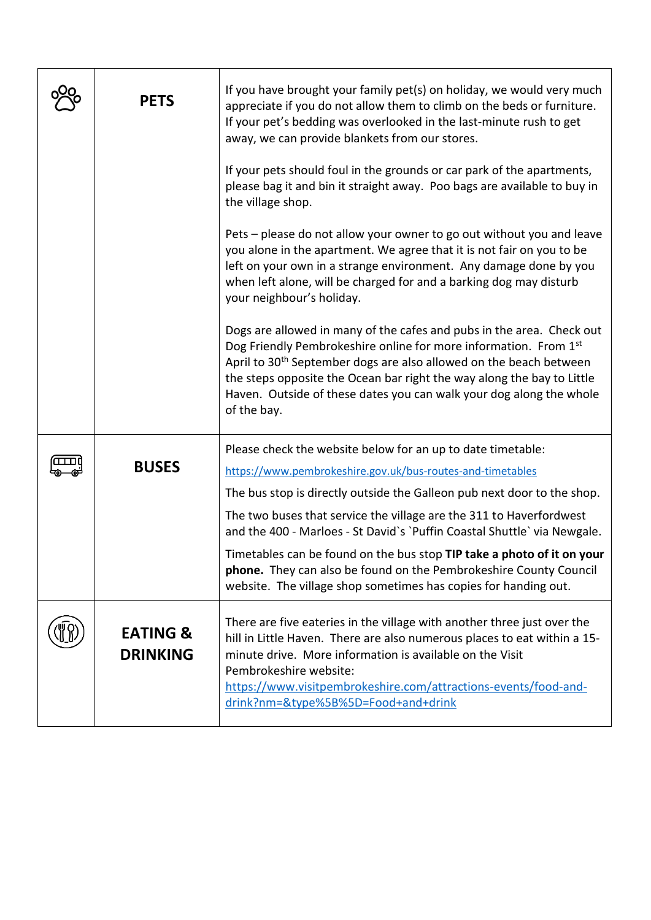| <b>PETS</b>                            | If you have brought your family pet(s) on holiday, we would very much<br>appreciate if you do not allow them to climb on the beds or furniture.<br>If your pet's bedding was overlooked in the last-minute rush to get<br>away, we can provide blankets from our stores.                                                                                                                    |
|----------------------------------------|---------------------------------------------------------------------------------------------------------------------------------------------------------------------------------------------------------------------------------------------------------------------------------------------------------------------------------------------------------------------------------------------|
|                                        | If your pets should foul in the grounds or car park of the apartments,<br>please bag it and bin it straight away. Poo bags are available to buy in<br>the village shop.                                                                                                                                                                                                                     |
|                                        | Pets – please do not allow your owner to go out without you and leave<br>you alone in the apartment. We agree that it is not fair on you to be<br>left on your own in a strange environment. Any damage done by you<br>when left alone, will be charged for and a barking dog may disturb<br>your neighbour's holiday.                                                                      |
|                                        | Dogs are allowed in many of the cafes and pubs in the area. Check out<br>Dog Friendly Pembrokeshire online for more information. From 1st<br>April to 30 <sup>th</sup> September dogs are also allowed on the beach between<br>the steps opposite the Ocean bar right the way along the bay to Little<br>Haven. Outside of these dates you can walk your dog along the whole<br>of the bay. |
| <b>BUSES</b>                           | Please check the website below for an up to date timetable:<br>https://www.pembrokeshire.gov.uk/bus-routes-and-timetables                                                                                                                                                                                                                                                                   |
|                                        | The bus stop is directly outside the Galleon pub next door to the shop.<br>The two buses that service the village are the 311 to Haverfordwest                                                                                                                                                                                                                                              |
|                                        | and the 400 - Marloes - St David's 'Puffin Coastal Shuttle' via Newgale.                                                                                                                                                                                                                                                                                                                    |
|                                        | Timetables can be found on the bus stop TIP take a photo of it on your<br>phone. They can also be found on the Pembrokeshire County Council<br>website. The village shop sometimes has copies for handing out.                                                                                                                                                                              |
| <b>EATING &amp;</b><br><b>DRINKING</b> | There are five eateries in the village with another three just over the<br>hill in Little Haven. There are also numerous places to eat within a 15-<br>minute drive. More information is available on the Visit<br>Pembrokeshire website:<br>https://www.visitpembrokeshire.com/attractions-events/food-and-<br>drink?nm=&type%5B%5D=Food+and+drink                                         |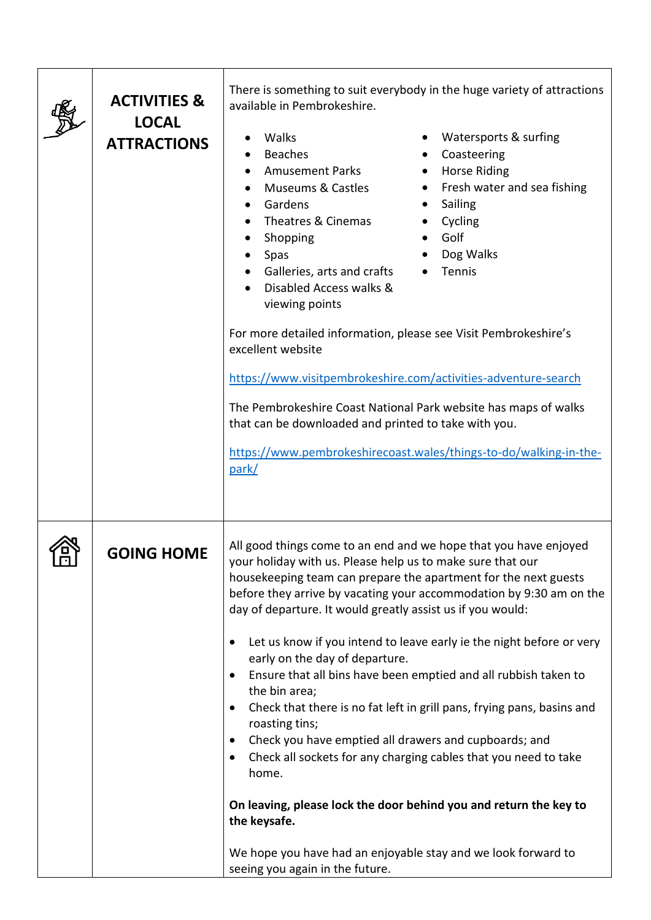|     | <b>ACTIVITIES &amp;</b><br><b>LOCAL</b><br><b>ATTRACTIONS</b> | There is something to suit everybody in the huge variety of attractions<br>available in Pembrokeshire.<br>Walks<br>Watersports & surfing<br>Coasteering<br><b>Beaches</b><br>Horse Riding<br><b>Amusement Parks</b><br><b>Museums &amp; Castles</b><br>Fresh water and sea fishing<br>$\bullet$<br>٠<br>Gardens<br>Sailing<br>$\bullet$<br>$\bullet$<br>Theatres & Cinemas<br>Cycling<br>$\bullet$<br>Golf<br>Shopping<br>$\bullet$<br>Dog Walks<br>Spas<br>Tennis<br>Galleries, arts and crafts<br>Disabled Access walks &<br>viewing points<br>For more detailed information, please see Visit Pembrokeshire's<br>excellent website<br>https://www.visitpembrokeshire.com/activities-adventure-search<br>The Pembrokeshire Coast National Park website has maps of walks<br>that can be downloaded and printed to take with you.<br>https://www.pembrokeshirecoast.wales/things-to-do/walking-in-the-<br>park/                                                                                                        |  |
|-----|---------------------------------------------------------------|-------------------------------------------------------------------------------------------------------------------------------------------------------------------------------------------------------------------------------------------------------------------------------------------------------------------------------------------------------------------------------------------------------------------------------------------------------------------------------------------------------------------------------------------------------------------------------------------------------------------------------------------------------------------------------------------------------------------------------------------------------------------------------------------------------------------------------------------------------------------------------------------------------------------------------------------------------------------------------------------------------------------------|--|
| புப | <b>GOING HOME</b>                                             | All good things come to an end and we hope that you have enjoyed<br>your holiday with us. Please help us to make sure that our<br>housekeeping team can prepare the apartment for the next guests<br>before they arrive by vacating your accommodation by 9:30 am on the<br>day of departure. It would greatly assist us if you would:<br>Let us know if you intend to leave early ie the night before or very<br>٠<br>early on the day of departure.<br>Ensure that all bins have been emptied and all rubbish taken to<br>$\bullet$<br>the bin area;<br>Check that there is no fat left in grill pans, frying pans, basins and<br>$\bullet$<br>roasting tins;<br>Check you have emptied all drawers and cupboards; and<br>$\bullet$<br>Check all sockets for any charging cables that you need to take<br>$\bullet$<br>home.<br>On leaving, please lock the door behind you and return the key to<br>the keysafe.<br>We hope you have had an enjoyable stay and we look forward to<br>seeing you again in the future. |  |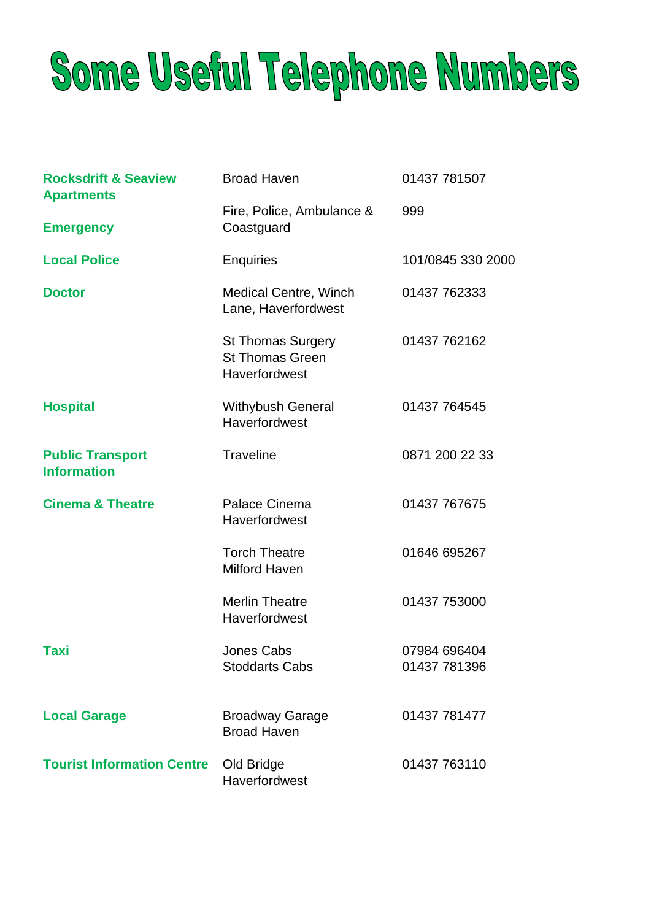# Some Useful Telephone Numbers

| <b>Rocksdrift &amp; Seaview</b><br><b>Apartments</b> | <b>Broad Haven</b>                                                  | 01437 781507                 |
|------------------------------------------------------|---------------------------------------------------------------------|------------------------------|
| <b>Emergency</b>                                     | Fire, Police, Ambulance &<br>Coastguard                             | 999                          |
| <b>Local Police</b>                                  | <b>Enquiries</b>                                                    | 101/0845 330 2000            |
| <b>Doctor</b>                                        | <b>Medical Centre, Winch</b><br>Lane, Haverfordwest                 | 01437 762333                 |
|                                                      | <b>St Thomas Surgery</b><br><b>St Thomas Green</b><br>Haverfordwest | 01437 762162                 |
| <b>Hospital</b>                                      | <b>Withybush General</b><br>Haverfordwest                           | 01437 764545                 |
| <b>Public Transport</b><br><b>Information</b>        | <b>Traveline</b>                                                    | 0871 200 22 33               |
| <b>Cinema &amp; Theatre</b>                          | Palace Cinema<br>Haverfordwest                                      | 01437 767675                 |
|                                                      | <b>Torch Theatre</b><br><b>Milford Haven</b>                        | 01646 695267                 |
|                                                      | <b>Merlin Theatre</b><br>Haverfordwest                              | 01437 753000                 |
| Taxi                                                 | <b>Jones Cabs</b><br><b>Stoddarts Cabs</b>                          | 07984 696404<br>01437 781396 |
| <b>Local Garage</b>                                  | <b>Broadway Garage</b><br><b>Broad Haven</b>                        | 01437 781477                 |
| <b>Tourist Information Centre</b>                    | Old Bridge<br>Haverfordwest                                         | 01437 763110                 |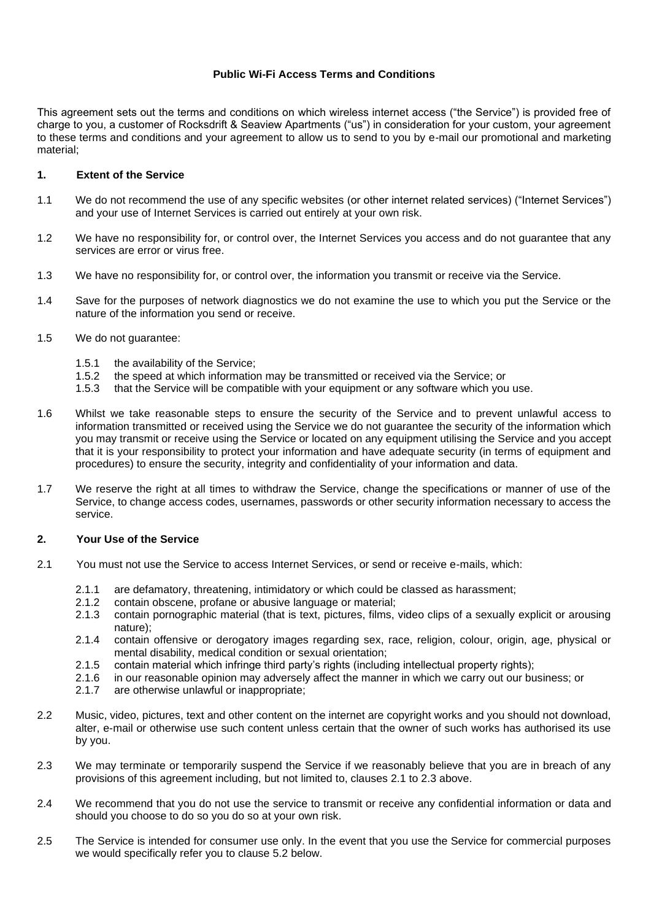## **Public Wi-Fi Access Terms and Conditions**

This agreement sets out the terms and conditions on which wireless internet access ("the Service") is provided free of charge to you, a customer of Rocksdrift & Seaview Apartments ("us") in consideration for your custom, your agreement to these terms and conditions and your agreement to allow us to send to you by e-mail our promotional and marketing material;

#### **1. Extent of the Service**

- 1.1 We do not recommend the use of any specific websites (or other internet related services) ("Internet Services") and your use of Internet Services is carried out entirely at your own risk.
- 1.2 We have no responsibility for, or control over, the Internet Services you access and do not guarantee that any services are error or virus free.
- 1.3 We have no responsibility for, or control over, the information you transmit or receive via the Service.
- 1.4 Save for the purposes of network diagnostics we do not examine the use to which you put the Service or the nature of the information you send or receive.
- 1.5 We do not guarantee:
	- 1.5.1 the availability of the Service;
	- 1.5.2 the speed at which information may be transmitted or received via the Service; or
	- 1.5.3 that the Service will be compatible with your equipment or any software which you use.
- 1.6 Whilst we take reasonable steps to ensure the security of the Service and to prevent unlawful access to information transmitted or received using the Service we do not guarantee the security of the information which you may transmit or receive using the Service or located on any equipment utilising the Service and you accept that it is your responsibility to protect your information and have adequate security (in terms of equipment and procedures) to ensure the security, integrity and confidentiality of your information and data.
- 1.7 We reserve the right at all times to withdraw the Service, change the specifications or manner of use of the Service, to change access codes, usernames, passwords or other security information necessary to access the service.

#### **2. Your Use of the Service**

- 2.1 You must not use the Service to access Internet Services, or send or receive e-mails, which:
	- 2.1.1 are defamatory, threatening, intimidatory or which could be classed as harassment;
	- 2.1.2 contain obscene, profane or abusive language or material;<br>2.1.3 contain porpographic material (that is text pictures films)
	- contain pornographic material (that is text, pictures, films, video clips of a sexually explicit or arousing nature);
	- 2.1.4 contain offensive or derogatory images regarding sex, race, religion, colour, origin, age, physical or mental disability, medical condition or sexual orientation;
	- 2.1.5 contain material which infringe third party's rights (including intellectual property rights);
	- 2.1.6 in our reasonable opinion may adversely affect the manner in which we carry out our business; or
	- 2.1.7 are otherwise unlawful or inappropriate;
- 2.2 Music, video, pictures, text and other content on the internet are copyright works and you should not download, alter, e-mail or otherwise use such content unless certain that the owner of such works has authorised its use by you.
- 2.3 We may terminate or temporarily suspend the Service if we reasonably believe that you are in breach of any provisions of this agreement including, but not limited to, clauses 2.1 to 2.3 above.
- 2.4 We recommend that you do not use the service to transmit or receive any confidential information or data and should you choose to do so you do so at your own risk.
- 2.5 The Service is intended for consumer use only. In the event that you use the Service for commercial purposes we would specifically refer you to clause 5.2 below.